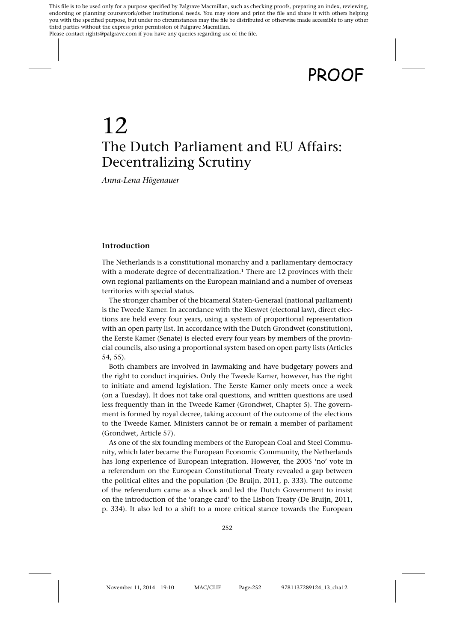This file is to be used only for a purpose specified by Palgrave Macmillan, such as checking proofs, preparing an index, reviewing, endorsing or planning coursework/other institutional needs. You may store and print the file and share it with others helping you with the specified purpose, but under no circumstances may the file be distributed or otherwise made accessible to any other third parties without the express prior permission of Palgrave Macmillan. Please contact rights@palgrave.com if you have any queries regarding use of the file.

## PROOF

## 12 The Dutch Parliament and EU Affairs: Decentralizing Scrutiny

*Anna-Lena Högenauer*

### **Introduction**

The Netherlands is a constitutional monarchy and a parliamentary democracy with a moderate degree of decentralization.<sup>1</sup> There are 12 provinces with their own regional parliaments on the European mainland and a number of overseas territories with special status.

The stronger chamber of the bicameral Staten-Generaal (national parliament) is the Tweede Kamer. In accordance with the Kieswet (electoral law), direct elections are held every four years, using a system of proportional representation with an open party list. In accordance with the Dutch Grondwet (constitution), the Eerste Kamer (Senate) is elected every four years by members of the provincial councils, also using a proportional system based on open party lists (Articles 54, 55).

Both chambers are involved in lawmaking and have budgetary powers and the right to conduct inquiries. Only the Tweede Kamer, however, has the right to initiate and amend legislation. The Eerste Kamer only meets once a week (on a Tuesday). It does not take oral questions, and written questions are used less frequently than in the Tweede Kamer (Grondwet, Chapter 5). The government is formed by royal decree, taking account of the outcome of the elections to the Tweede Kamer. Ministers cannot be or remain a member of parliament (Grondwet, Article 57).

As one of the six founding members of the European Coal and Steel Community, which later became the European Economic Community, the Netherlands has long experience of European integration. However, the 2005 'no' vote in a referendum on the European Constitutional Treaty revealed a gap between the political elites and the population (De Bruijn, 2011, p. 333). The outcome of the referendum came as a shock and led the Dutch Government to insist on the introduction of the 'orange card' to the Lisbon Treaty (De Bruijn, 2011, p. 334). It also led to a shift to a more critical stance towards the European

252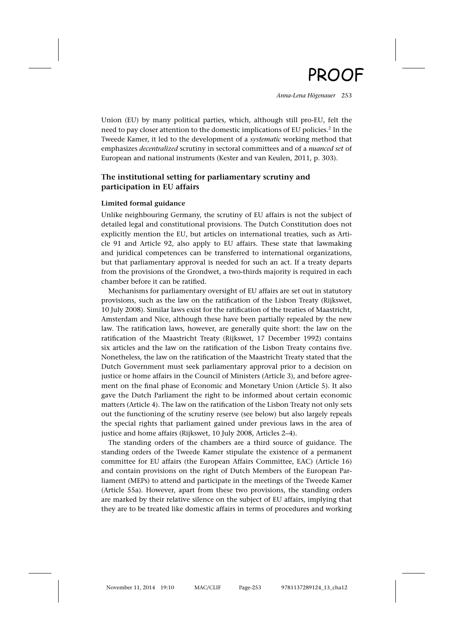*Anna-Lena Högenauer* 253

Union (EU) by many political parties, which, although still pro-EU, felt the need to pay closer attention to the domestic implications of EU policies.<sup>2</sup> In the Tweede Kamer, it led to the development of a *systematic* working method that emphasizes *decentralized* scrutiny in sectoral committees and of a *nuanced set* of European and national instruments (Kester and van Keulen, 2011, p. 303).

### **The institutional setting for parliamentary scrutiny and participation in EU affairs**

### **Limited formal guidance**

Unlike neighbouring Germany, the scrutiny of EU affairs is not the subject of detailed legal and constitutional provisions. The Dutch Constitution does not explicitly mention the EU, but articles on international treaties, such as Article 91 and Article 92, also apply to EU affairs. These state that lawmaking and juridical competences can be transferred to international organizations, but that parliamentary approval is needed for such an act. If a treaty departs from the provisions of the Grondwet, a two-thirds majority is required in each chamber before it can be ratified.

Mechanisms for parliamentary oversight of EU affairs are set out in statutory provisions, such as the law on the ratification of the Lisbon Treaty (Rijkswet, 10 July 2008). Similar laws exist for the ratification of the treaties of Maastricht, Amsterdam and Nice, although these have been partially repealed by the new law. The ratification laws, however, are generally quite short: the law on the ratification of the Maastricht Treaty (Rijkswet, 17 December 1992) contains six articles and the law on the ratification of the Lisbon Treaty contains five. Nonetheless, the law on the ratification of the Maastricht Treaty stated that the Dutch Government must seek parliamentary approval prior to a decision on justice or home affairs in the Council of Ministers (Article 3), and before agreement on the final phase of Economic and Monetary Union (Article 5). It also gave the Dutch Parliament the right to be informed about certain economic matters (Article 4). The law on the ratification of the Lisbon Treaty not only sets out the functioning of the scrutiny reserve (see below) but also largely repeals the special rights that parliament gained under previous laws in the area of justice and home affairs (Rijkswet, 10 July 2008, Articles 2–4).

The standing orders of the chambers are a third source of guidance. The standing orders of the Tweede Kamer stipulate the existence of a permanent committee for EU affairs (the European Affairs Committee, EAC) (Article 16) and contain provisions on the right of Dutch Members of the European Parliament (MEPs) to attend and participate in the meetings of the Tweede Kamer (Article 55a). However, apart from these two provisions, the standing orders are marked by their relative silence on the subject of EU affairs, implying that they are to be treated like domestic affairs in terms of procedures and working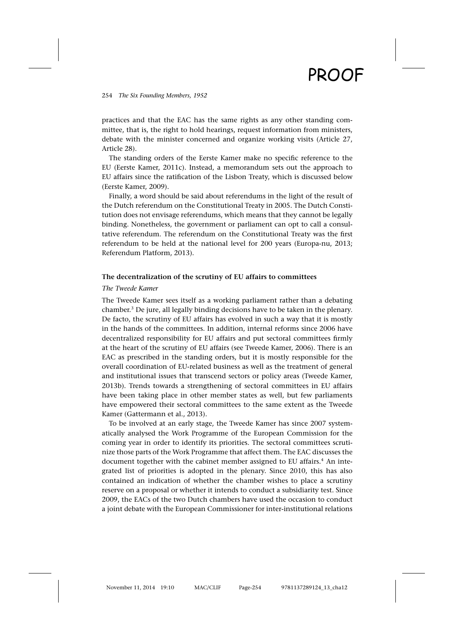#### 254 *The Six Founding Members, 1952*

practices and that the EAC has the same rights as any other standing committee, that is, the right to hold hearings, request information from ministers, debate with the minister concerned and organize working visits (Article 27, Article 28).

The standing orders of the Eerste Kamer make no specific reference to the EU (Eerste Kamer, 2011c). Instead, a memorandum sets out the approach to EU affairs since the ratification of the Lisbon Treaty, which is discussed below (Eerste Kamer, 2009).

Finally, a word should be said about referendums in the light of the result of the Dutch referendum on the Constitutional Treaty in 2005. The Dutch Constitution does not envisage referendums, which means that they cannot be legally binding. Nonetheless, the government or parliament can opt to call a consultative referendum. The referendum on the Constitutional Treaty was the first referendum to be held at the national level for 200 years (Europa-nu, 2013; Referendum Platform, 2013).

#### **The decentralization of the scrutiny of EU affairs to committees**

### *The Tweede Kamer*

The Tweede Kamer sees itself as a working parliament rather than a debating chamber.3 De jure, all legally binding decisions have to be taken in the plenary. De facto, the scrutiny of EU affairs has evolved in such a way that it is mostly in the hands of the committees. In addition, internal reforms since 2006 have decentralized responsibility for EU affairs and put sectoral committees firmly at the heart of the scrutiny of EU affairs (see Tweede Kamer, 2006). There is an EAC as prescribed in the standing orders, but it is mostly responsible for the overall coordination of EU-related business as well as the treatment of general and institutional issues that transcend sectors or policy areas (Tweede Kamer, 2013b). Trends towards a strengthening of sectoral committees in EU affairs have been taking place in other member states as well, but few parliaments have empowered their sectoral committees to the same extent as the Tweede Kamer (Gattermann et al., 2013).

To be involved at an early stage, the Tweede Kamer has since 2007 systematically analysed the Work Programme of the European Commission for the coming year in order to identify its priorities. The sectoral committees scrutinize those parts of the Work Programme that affect them. The EAC discusses the document together with the cabinet member assigned to EU affairs.<sup>4</sup> An integrated list of priorities is adopted in the plenary. Since 2010, this has also contained an indication of whether the chamber wishes to place a scrutiny reserve on a proposal or whether it intends to conduct a subsidiarity test. Since 2009, the EACs of the two Dutch chambers have used the occasion to conduct a joint debate with the European Commissioner for inter-institutional relations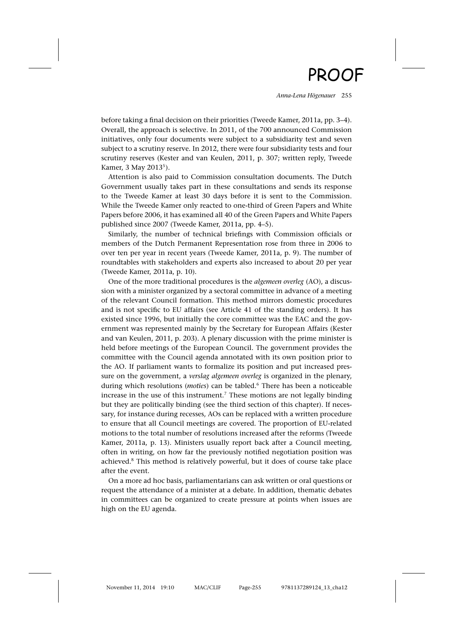*Anna-Lena Högenauer* 255

before taking a final decision on their priorities (Tweede Kamer, 2011a, pp. 3–4). Overall, the approach is selective. In 2011, of the 700 announced Commission initiatives, only four documents were subject to a subsidiarity test and seven subject to a scrutiny reserve. In 2012, there were four subsidiarity tests and four scrutiny reserves (Kester and van Keulen, 2011, p. 307; written reply, Tweede Kamer, 3 May 2013<sup>5</sup>).

Attention is also paid to Commission consultation documents. The Dutch Government usually takes part in these consultations and sends its response to the Tweede Kamer at least 30 days before it is sent to the Commission. While the Tweede Kamer only reacted to one-third of Green Papers and White Papers before 2006, it has examined all 40 of the Green Papers and White Papers published since 2007 (Tweede Kamer, 2011a, pp. 4–5).

Similarly, the number of technical briefings with Commission officials or members of the Dutch Permanent Representation rose from three in 2006 to over ten per year in recent years (Tweede Kamer, 2011a, p. 9). The number of roundtables with stakeholders and experts also increased to about 20 per year (Tweede Kamer, 2011a, p. 10).

One of the more traditional procedures is the *algemeen overleg* (AO), a discussion with a minister organized by a sectoral committee in advance of a meeting of the relevant Council formation. This method mirrors domestic procedures and is not specific to EU affairs (see Article 41 of the standing orders). It has existed since 1996, but initially the core committee was the EAC and the government was represented mainly by the Secretary for European Affairs (Kester and van Keulen, 2011, p. 203). A plenary discussion with the prime minister is held before meetings of the European Council. The government provides the committee with the Council agenda annotated with its own position prior to the AO. If parliament wants to formalize its position and put increased pressure on the government, a *verslag algemeen overleg* is organized in the plenary, during which resolutions (*moties*) can be tabled.<sup>6</sup> There has been a noticeable increase in the use of this instrument.<sup>7</sup> These motions are not legally binding but they are politically binding (see the third section of this chapter). If necessary, for instance during recesses, AOs can be replaced with a written procedure to ensure that all Council meetings are covered. The proportion of EU-related motions to the total number of resolutions increased after the reforms (Tweede Kamer, 2011a, p. 13). Ministers usually report back after a Council meeting, often in writing, on how far the previously notified negotiation position was achieved.8 This method is relatively powerful, but it does of course take place after the event.

On a more ad hoc basis, parliamentarians can ask written or oral questions or request the attendance of a minister at a debate. In addition, thematic debates in committees can be organized to create pressure at points when issues are high on the EU agenda.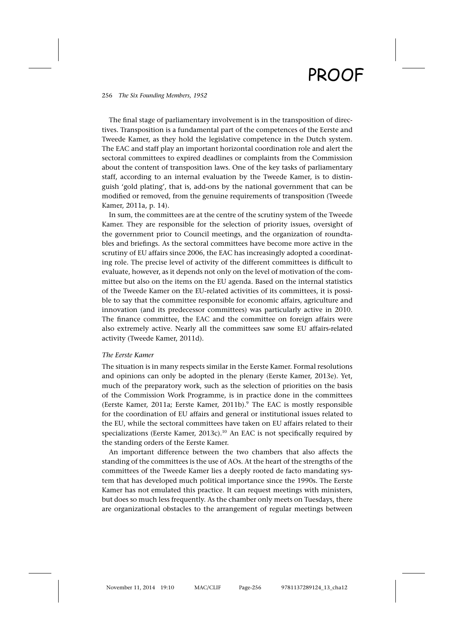#### 256 *The Six Founding Members, 1952*

The final stage of parliamentary involvement is in the transposition of directives. Transposition is a fundamental part of the competences of the Eerste and Tweede Kamer, as they hold the legislative competence in the Dutch system. The EAC and staff play an important horizontal coordination role and alert the sectoral committees to expired deadlines or complaints from the Commission about the content of transposition laws. One of the key tasks of parliamentary staff, according to an internal evaluation by the Tweede Kamer, is to distinguish 'gold plating', that is, add-ons by the national government that can be modified or removed, from the genuine requirements of transposition (Tweede Kamer, 2011a, p. 14).

In sum, the committees are at the centre of the scrutiny system of the Tweede Kamer. They are responsible for the selection of priority issues, oversight of the government prior to Council meetings, and the organization of roundtables and briefings. As the sectoral committees have become more active in the scrutiny of EU affairs since 2006, the EAC has increasingly adopted a coordinating role. The precise level of activity of the different committees is difficult to evaluate, however, as it depends not only on the level of motivation of the committee but also on the items on the EU agenda. Based on the internal statistics of the Tweede Kamer on the EU-related activities of its committees, it is possible to say that the committee responsible for economic affairs, agriculture and innovation (and its predecessor committees) was particularly active in 2010. The finance committee, the EAC and the committee on foreign affairs were also extremely active. Nearly all the committees saw some EU affairs-related activity (Tweede Kamer, 2011d).

### *The Eerste Kamer*

The situation is in many respects similar in the Eerste Kamer. Formal resolutions and opinions can only be adopted in the plenary (Eerste Kamer, 2013e). Yet, much of the preparatory work, such as the selection of priorities on the basis of the Commission Work Programme, is in practice done in the committees (Eerste Kamer, 2011a; Eerste Kamer, 2011b).<sup>9</sup> The EAC is mostly responsible for the coordination of EU affairs and general or institutional issues related to the EU, while the sectoral committees have taken on EU affairs related to their specializations (Eerste Kamer, 2013c).<sup>10</sup> An EAC is not specifically required by the standing orders of the Eerste Kamer.

An important difference between the two chambers that also affects the standing of the committees is the use of AOs. At the heart of the strengths of the committees of the Tweede Kamer lies a deeply rooted de facto mandating system that has developed much political importance since the 1990s. The Eerste Kamer has not emulated this practice. It can request meetings with ministers, but does so much less frequently. As the chamber only meets on Tuesdays, there are organizational obstacles to the arrangement of regular meetings between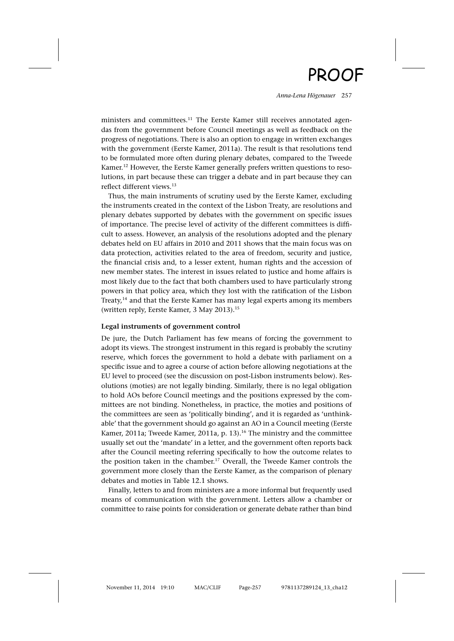*Anna-Lena Högenauer* 257

ministers and committees.<sup>11</sup> The Eerste Kamer still receives annotated agendas from the government before Council meetings as well as feedback on the progress of negotiations. There is also an option to engage in written exchanges with the government (Eerste Kamer, 2011a). The result is that resolutions tend to be formulated more often during plenary debates, compared to the Tweede Kamer.<sup>12</sup> However, the Eerste Kamer generally prefers written questions to resolutions, in part because these can trigger a debate and in part because they can reflect different views.<sup>13</sup>

Thus, the main instruments of scrutiny used by the Eerste Kamer, excluding the instruments created in the context of the Lisbon Treaty, are resolutions and plenary debates supported by debates with the government on specific issues of importance. The precise level of activity of the different committees is difficult to assess. However, an analysis of the resolutions adopted and the plenary debates held on EU affairs in 2010 and 2011 shows that the main focus was on data protection, activities related to the area of freedom, security and justice, the financial crisis and, to a lesser extent, human rights and the accession of new member states. The interest in issues related to justice and home affairs is most likely due to the fact that both chambers used to have particularly strong powers in that policy area, which they lost with the ratification of the Lisbon Treaty, $14$  and that the Eerste Kamer has many legal experts among its members (written reply, Eerste Kamer, 3 May 2013).<sup>15</sup>

### **Legal instruments of government control**

De jure, the Dutch Parliament has few means of forcing the government to adopt its views. The strongest instrument in this regard is probably the scrutiny reserve, which forces the government to hold a debate with parliament on a specific issue and to agree a course of action before allowing negotiations at the EU level to proceed (see the discussion on post-Lisbon instruments below). Resolutions (moties) are not legally binding. Similarly, there is no legal obligation to hold AOs before Council meetings and the positions expressed by the committees are not binding. Nonetheless, in practice, the moties and positions of the committees are seen as 'politically binding', and it is regarded as 'unthinkable' that the government should go against an AO in a Council meeting (Eerste Kamer, 2011a; Tweede Kamer, 2011a, p. 13).<sup>16</sup> The ministry and the committee usually set out the 'mandate' in a letter, and the government often reports back after the Council meeting referring specifically to how the outcome relates to the position taken in the chamber.<sup>17</sup> Overall, the Tweede Kamer controls the government more closely than the Eerste Kamer, as the comparison of plenary debates and moties in Table 12.1 shows.

Finally, letters to and from ministers are a more informal but frequently used means of communication with the government. Letters allow a chamber or committee to raise points for consideration or generate debate rather than bind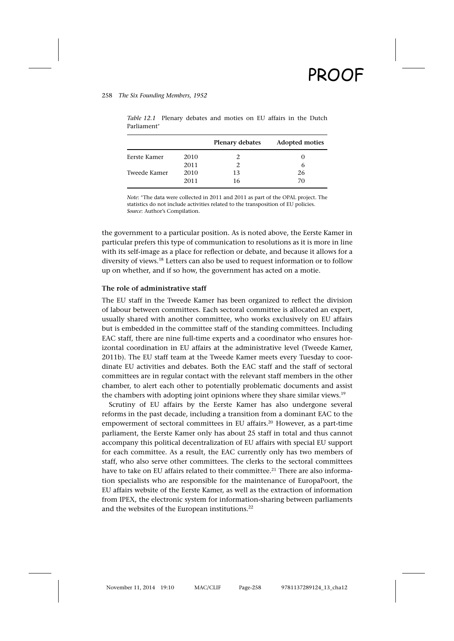#### 258 *The Six Founding Members, 1952*

|              |      | <b>Plenary debates</b> | <b>Adopted moties</b> |
|--------------|------|------------------------|-----------------------|
| Eerste Kamer | 2010 |                        |                       |
|              | 2011 | 2.                     | o                     |
| Tweede Kamer | 2010 | 13                     | 26                    |
|              | 2011 | 16                     | 70                    |

*Table 12.1* Plenary debates and moties on EU affairs in the Dutch Parliament<sup>∗</sup>

*Note*: ∗The data were collected in 2011 and 2011 as part of the OPAL project. The statistics do not include activities related to the transposition of EU policies. *Source*: Author's Compilation.

the government to a particular position. As is noted above, the Eerste Kamer in particular prefers this type of communication to resolutions as it is more in line with its self-image as a place for reflection or debate, and because it allows for a diversity of views.18 Letters can also be used to request information or to follow up on whether, and if so how, the government has acted on a motie.

### **The role of administrative staff**

The EU staff in the Tweede Kamer has been organized to reflect the division of labour between committees. Each sectoral committee is allocated an expert, usually shared with another committee, who works exclusively on EU affairs but is embedded in the committee staff of the standing committees. Including EAC staff, there are nine full-time experts and a coordinator who ensures horizontal coordination in EU affairs at the administrative level (Tweede Kamer, 2011b). The EU staff team at the Tweede Kamer meets every Tuesday to coordinate EU activities and debates. Both the EAC staff and the staff of sectoral committees are in regular contact with the relevant staff members in the other chamber, to alert each other to potentially problematic documents and assist the chambers with adopting joint opinions where they share similar views.<sup>19</sup>

Scrutiny of EU affairs by the Eerste Kamer has also undergone several reforms in the past decade, including a transition from a dominant EAC to the empowerment of sectoral committees in EU affairs.<sup>20</sup> However, as a part-time parliament, the Eerste Kamer only has about 25 staff in total and thus cannot accompany this political decentralization of EU affairs with special EU support for each committee. As a result, the EAC currently only has two members of staff, who also serve other committees. The clerks to the sectoral committees have to take on EU affairs related to their committee.<sup>21</sup> There are also information specialists who are responsible for the maintenance of EuropaPoort, the EU affairs website of the Eerste Kamer, as well as the extraction of information from IPEX, the electronic system for information-sharing between parliaments and the websites of the European institutions.<sup>22</sup>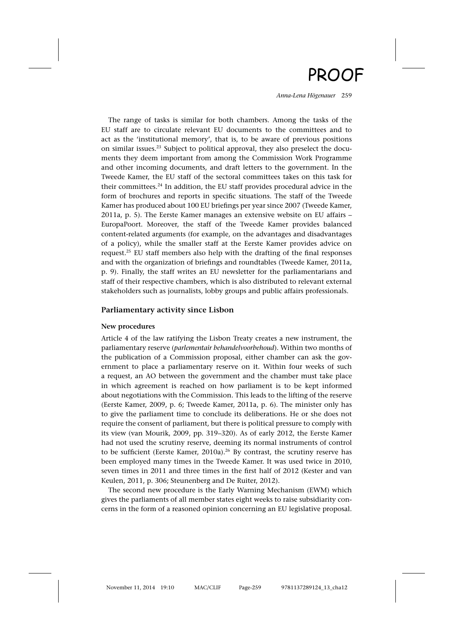*Anna-Lena Högenauer* 259

The range of tasks is similar for both chambers. Among the tasks of the EU staff are to circulate relevant EU documents to the committees and to act as the 'institutional memory', that is, to be aware of previous positions on similar issues.<sup>23</sup> Subject to political approval, they also preselect the documents they deem important from among the Commission Work Programme and other incoming documents, and draft letters to the government. In the Tweede Kamer, the EU staff of the sectoral committees takes on this task for their committees.<sup>24</sup> In addition, the EU staff provides procedural advice in the form of brochures and reports in specific situations. The staff of the Tweede Kamer has produced about 100 EU briefings per year since 2007 (Tweede Kamer, 2011a, p. 5). The Eerste Kamer manages an extensive website on EU affairs – EuropaPoort. Moreover, the staff of the Tweede Kamer provides balanced content-related arguments (for example, on the advantages and disadvantages of a policy), while the smaller staff at the Eerste Kamer provides advice on request.25 EU staff members also help with the drafting of the final responses and with the organization of briefings and roundtables (Tweede Kamer, 2011a, p. 9). Finally, the staff writes an EU newsletter for the parliamentarians and staff of their respective chambers, which is also distributed to relevant external stakeholders such as journalists, lobby groups and public affairs professionals.

### **Parliamentary activity since Lisbon**

### **New procedures**

Article 4 of the law ratifying the Lisbon Treaty creates a new instrument, the parliamentary reserve (*parlementair behandelvoorbehoud*). Within two months of the publication of a Commission proposal, either chamber can ask the government to place a parliamentary reserve on it. Within four weeks of such a request, an AO between the government and the chamber must take place in which agreement is reached on how parliament is to be kept informed about negotiations with the Commission. This leads to the lifting of the reserve (Eerste Kamer, 2009, p. 6; Tweede Kamer, 2011a, p. 6). The minister only has to give the parliament time to conclude its deliberations. He or she does not require the consent of parliament, but there is political pressure to comply with its view (van Mourik, 2009, pp. 319–320). As of early 2012, the Eerste Kamer had not used the scrutiny reserve, deeming its normal instruments of control to be sufficient (Eerste Kamer, 2010a).<sup>26</sup> By contrast, the scrutiny reserve has been employed many times in the Tweede Kamer. It was used twice in 2010, seven times in 2011 and three times in the first half of 2012 (Kester and van Keulen, 2011, p. 306; Steunenberg and De Ruiter, 2012).

The second new procedure is the Early Warning Mechanism (EWM) which gives the parliaments of all member states eight weeks to raise subsidiarity concerns in the form of a reasoned opinion concerning an EU legislative proposal.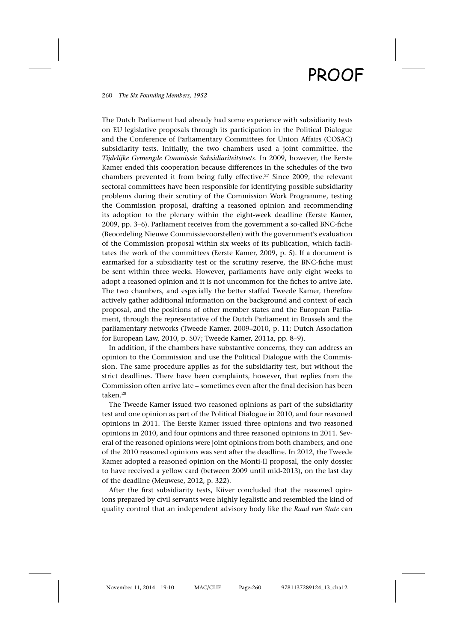#### 260 *The Six Founding Members, 1952*

The Dutch Parliament had already had some experience with subsidiarity tests on EU legislative proposals through its participation in the Political Dialogue and the Conference of Parliamentary Committees for Union Affairs (COSAC) subsidiarity tests. Initially, the two chambers used a joint committee, the *Tijdelijke Gemengde Commissie Subsidiariteitstoets*. In 2009, however, the Eerste Kamer ended this cooperation because differences in the schedules of the two chambers prevented it from being fully effective.<sup>27</sup> Since 2009, the relevant sectoral committees have been responsible for identifying possible subsidiarity problems during their scrutiny of the Commission Work Programme, testing the Commission proposal, drafting a reasoned opinion and recommending its adoption to the plenary within the eight-week deadline (Eerste Kamer, 2009, pp. 3–6). Parliament receives from the government a so-called BNC-fiche (Beoordeling Nieuwe Commissievoorstellen) with the government's evaluation of the Commission proposal within six weeks of its publication, which facilitates the work of the committees (Eerste Kamer, 2009, p. 5). If a document is earmarked for a subsidiarity test or the scrutiny reserve, the BNC-fiche must be sent within three weeks. However, parliaments have only eight weeks to adopt a reasoned opinion and it is not uncommon for the fiches to arrive late. The two chambers, and especially the better staffed Tweede Kamer, therefore actively gather additional information on the background and context of each proposal, and the positions of other member states and the European Parliament, through the representative of the Dutch Parliament in Brussels and the parliamentary networks (Tweede Kamer, 2009–2010, p. 11; Dutch Association for European Law, 2010, p. 507; Tweede Kamer, 2011a, pp. 8–9).

In addition, if the chambers have substantive concerns, they can address an opinion to the Commission and use the Political Dialogue with the Commission. The same procedure applies as for the subsidiarity test, but without the strict deadlines. There have been complaints, however, that replies from the Commission often arrive late – sometimes even after the final decision has been taken.<sup>28</sup>

The Tweede Kamer issued two reasoned opinions as part of the subsidiarity test and one opinion as part of the Political Dialogue in 2010, and four reasoned opinions in 2011. The Eerste Kamer issued three opinions and two reasoned opinions in 2010, and four opinions and three reasoned opinions in 2011. Several of the reasoned opinions were joint opinions from both chambers, and one of the 2010 reasoned opinions was sent after the deadline. In 2012, the Tweede Kamer adopted a reasoned opinion on the Monti-II proposal, the only dossier to have received a yellow card (between 2009 until mid-2013), on the last day of the deadline (Meuwese, 2012, p. 322).

After the first subsidiarity tests, Kiiver concluded that the reasoned opinions prepared by civil servants were highly legalistic and resembled the kind of quality control that an independent advisory body like the *Raad van State* can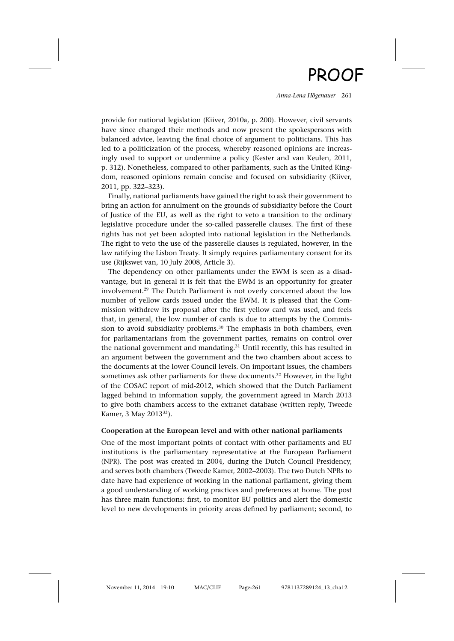*Anna-Lena Högenauer* 261

provide for national legislation (Kiiver, 2010a, p. 200). However, civil servants have since changed their methods and now present the spokespersons with balanced advice, leaving the final choice of argument to politicians. This has led to a politicization of the process, whereby reasoned opinions are increasingly used to support or undermine a policy (Kester and van Keulen, 2011, p. 312). Nonetheless, compared to other parliaments, such as the United Kingdom, reasoned opinions remain concise and focused on subsidiarity (Kiiver, 2011, pp. 322–323).

Finally, national parliaments have gained the right to ask their government to bring an action for annulment on the grounds of subsidiarity before the Court of Justice of the EU, as well as the right to veto a transition to the ordinary legislative procedure under the so-called passerelle clauses. The first of these rights has not yet been adopted into national legislation in the Netherlands. The right to veto the use of the passerelle clauses is regulated, however, in the law ratifying the Lisbon Treaty. It simply requires parliamentary consent for its use (Rijkswet van, 10 July 2008, Article 3).

The dependency on other parliaments under the EWM is seen as a disadvantage, but in general it is felt that the EWM is an opportunity for greater involvement.29 The Dutch Parliament is not overly concerned about the low number of yellow cards issued under the EWM. It is pleased that the Commission withdrew its proposal after the first yellow card was used, and feels that, in general, the low number of cards is due to attempts by the Commission to avoid subsidiarity problems.<sup>30</sup> The emphasis in both chambers, even for parliamentarians from the government parties, remains on control over the national government and mandating. $31$  Until recently, this has resulted in an argument between the government and the two chambers about access to the documents at the lower Council levels. On important issues, the chambers sometimes ask other parliaments for these documents.<sup>32</sup> However, in the light of the COSAC report of mid-2012, which showed that the Dutch Parliament lagged behind in information supply, the government agreed in March 2013 to give both chambers access to the extranet database (written reply, Tweede Kamer, 3 May 2013<sup>33</sup>).

### **Cooperation at the European level and with other national parliaments**

One of the most important points of contact with other parliaments and EU institutions is the parliamentary representative at the European Parliament (NPR). The post was created in 2004, during the Dutch Council Presidency, and serves both chambers (Tweede Kamer, 2002–2003). The two Dutch NPRs to date have had experience of working in the national parliament, giving them a good understanding of working practices and preferences at home. The post has three main functions: first, to monitor EU politics and alert the domestic level to new developments in priority areas defined by parliament; second, to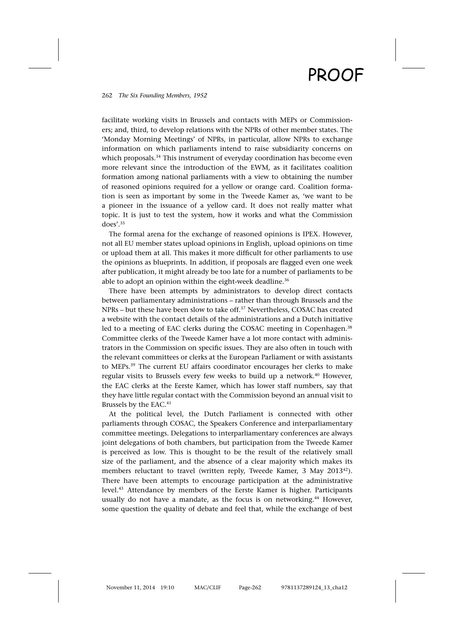262 *The Six Founding Members, 1952*

facilitate working visits in Brussels and contacts with MEPs or Commissioners; and, third, to develop relations with the NPRs of other member states. The 'Monday Morning Meetings' of NPRs, in particular, allow NPRs to exchange information on which parliaments intend to raise subsidiarity concerns on which proposals.<sup>34</sup> This instrument of everyday coordination has become even more relevant since the introduction of the EWM, as it facilitates coalition formation among national parliaments with a view to obtaining the number of reasoned opinions required for a yellow or orange card. Coalition formation is seen as important by some in the Tweede Kamer as, 'we want to be a pioneer in the issuance of a yellow card. It does not really matter what topic. It is just to test the system, how it works and what the Commission does'.35

The formal arena for the exchange of reasoned opinions is IPEX. However, not all EU member states upload opinions in English, upload opinions on time or upload them at all. This makes it more difficult for other parliaments to use the opinions as blueprints. In addition, if proposals are flagged even one week after publication, it might already be too late for a number of parliaments to be able to adopt an opinion within the eight-week deadline.<sup>36</sup>

There have been attempts by administrators to develop direct contacts between parliamentary administrations – rather than through Brussels and the  $NPRs$  – but these have been slow to take off.<sup>37</sup> Nevertheless, COSAC has created a website with the contact details of the administrations and a Dutch initiative led to a meeting of EAC clerks during the COSAC meeting in Copenhagen.<sup>38</sup> Committee clerks of the Tweede Kamer have a lot more contact with administrators in the Commission on specific issues. They are also often in touch with the relevant committees or clerks at the European Parliament or with assistants to MEPs.39 The current EU affairs coordinator encourages her clerks to make regular visits to Brussels every few weeks to build up a network.<sup>40</sup> However, the EAC clerks at the Eerste Kamer, which has lower staff numbers, say that they have little regular contact with the Commission beyond an annual visit to Brussels by the EAC.<sup>41</sup>

At the political level, the Dutch Parliament is connected with other parliaments through COSAC, the Speakers Conference and interparliamentary committee meetings. Delegations to interparliamentary conferences are always joint delegations of both chambers, but participation from the Tweede Kamer is perceived as low. This is thought to be the result of the relatively small size of the parliament, and the absence of a clear majority which makes its members reluctant to travel (written reply, Tweede Kamer, 3 May 2013<sup>42</sup>). There have been attempts to encourage participation at the administrative level.43 Attendance by members of the Eerste Kamer is higher. Participants usually do not have a mandate, as the focus is on networking.<sup>44</sup> However, some question the quality of debate and feel that, while the exchange of best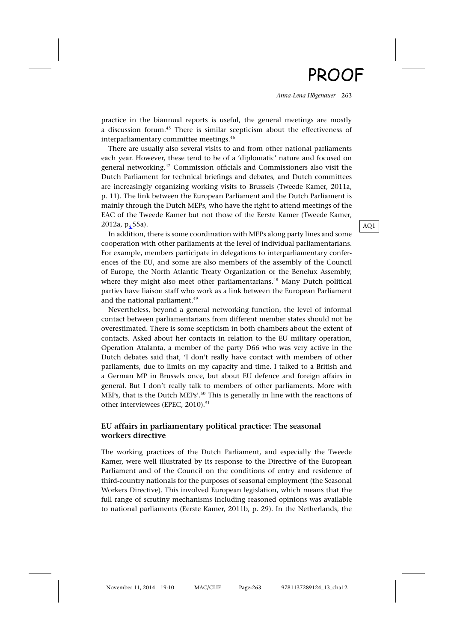*Anna-Lena Högenauer* 263

practice in the biannual reports is useful, the general meetings are mostly a discussion forum.<sup>45</sup> There is similar scepticism about the effectiveness of interparliamentary committee meetings.<sup>46</sup>

There are usually also several visits to and from other national parliaments each year. However, these tend to be of a 'diplomatic' nature and focused on general networking.47 Commission officials and Commissioners also visit the Dutch Parliament for technical briefings and debates, and Dutch committees are increasingly organizing working visits to Brussels (Tweede Kamer, 2011a, p. 11). The link between the European Parliament and the Dutch Parliament is mainly through the Dutch MEPs, who have the right to attend meetings of the EAC of the Tweede Kamer but not those of the Eerste Kamer (Tweede Kamer, 2012a,  $p_2$ 55a). AQ1

In addition, there is some coordination with MEPs along party lines and some cooperation with other parliaments at the level of individual parliamentarians. For example, members participate in delegations to interparliamentary conferences of the EU, and some are also members of the assembly of the Council of Europe, the North Atlantic Treaty Organization or the Benelux Assembly, where they might also meet other parliamentarians.<sup>48</sup> Many Dutch political parties have liaison staff who work as a link between the European Parliament and the national parliament.<sup>49</sup>

Nevertheless, beyond a general networking function, the level of informal contact between parliamentarians from different member states should not be overestimated. There is some scepticism in both chambers about the extent of contacts. Asked about her contacts in relation to the EU military operation, Operation Atalanta, a member of the party D66 who was very active in the Dutch debates said that, 'I don't really have contact with members of other parliaments, due to limits on my capacity and time. I talked to a British and a German MP in Brussels once, but about EU defence and foreign affairs in general. But I don't really talk to members of other parliaments. More with MEPs, that is the Dutch MEPs'.<sup>50</sup> This is generally in line with the reactions of other interviewees (EPEC, 2010).<sup>51</sup>

### **EU affairs in parliamentary political practice: The seasonal workers directive**

The working practices of the Dutch Parliament, and especially the Tweede Kamer, were well illustrated by its response to the Directive of the European Parliament and of the Council on the conditions of entry and residence of third-country nationals for the purposes of seasonal employment (the Seasonal Workers Directive). This involved European legislation, which means that the full range of scrutiny mechanisms including reasoned opinions was available to national parliaments (Eerste Kamer, 2011b, p. 29). In the Netherlands, the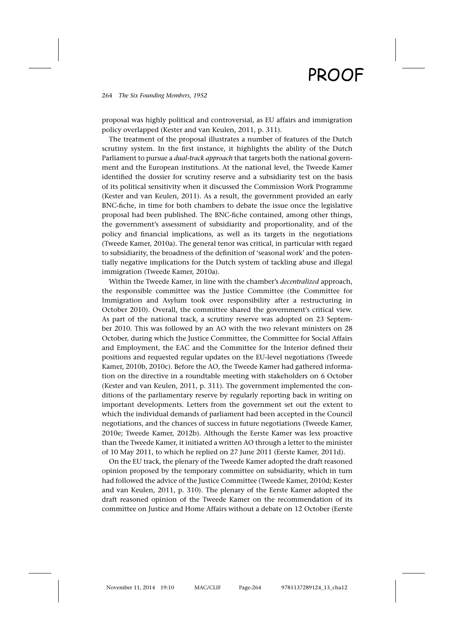#### 264 *The Six Founding Members, 1952*

proposal was highly political and controversial, as EU affairs and immigration policy overlapped (Kester and van Keulen, 2011, p. 311).

The treatment of the proposal illustrates a number of features of the Dutch scrutiny system. In the first instance, it highlights the ability of the Dutch Parliament to pursue a *dual-track approach* that targets both the national government and the European institutions. At the national level, the Tweede Kamer identified the dossier for scrutiny reserve and a subsidiarity test on the basis of its political sensitivity when it discussed the Commission Work Programme (Kester and van Keulen, 2011). As a result, the government provided an early BNC-fiche, in time for both chambers to debate the issue once the legislative proposal had been published. The BNC-fiche contained, among other things, the government's assessment of subsidiarity and proportionality, and of the policy and financial implications, as well as its targets in the negotiations (Tweede Kamer, 2010a). The general tenor was critical, in particular with regard to subsidiarity, the broadness of the definition of 'seasonal work' and the potentially negative implications for the Dutch system of tackling abuse and illegal immigration (Tweede Kamer, 2010a).

Within the Tweede Kamer, in line with the chamber's *decentralized* approach, the responsible committee was the Justice Committee (the Committee for Immigration and Asylum took over responsibility after a restructuring in October 2010). Overall, the committee shared the government's critical view. As part of the national track, a scrutiny reserve was adopted on 23 September 2010. This was followed by an AO with the two relevant ministers on 28 October, during which the Justice Committee, the Committee for Social Affairs and Employment, the EAC and the Committee for the Interior defined their positions and requested regular updates on the EU-level negotiations (Tweede Kamer, 2010b, 2010c). Before the AO, the Tweede Kamer had gathered information on the directive in a roundtable meeting with stakeholders on 6 October (Kester and van Keulen, 2011, p. 311). The government implemented the conditions of the parliamentary reserve by regularly reporting back in writing on important developments. Letters from the government set out the extent to which the individual demands of parliament had been accepted in the Council negotiations, and the chances of success in future negotiations (Tweede Kamer, 2010e; Tweede Kamer, 2012b). Although the Eerste Kamer was less proactive than the Tweede Kamer, it initiated a written AO through a letter to the minister of 10 May 2011, to which he replied on 27 June 2011 (Eerste Kamer, 2011d).

On the EU track, the plenary of the Tweede Kamer adopted the draft reasoned opinion proposed by the temporary committee on subsidiarity, which in turn had followed the advice of the Justice Committee (Tweede Kamer, 2010d; Kester and van Keulen, 2011, p. 310). The plenary of the Eerste Kamer adopted the draft reasoned opinion of the Tweede Kamer on the recommendation of its committee on Justice and Home Affairs without a debate on 12 October (Eerste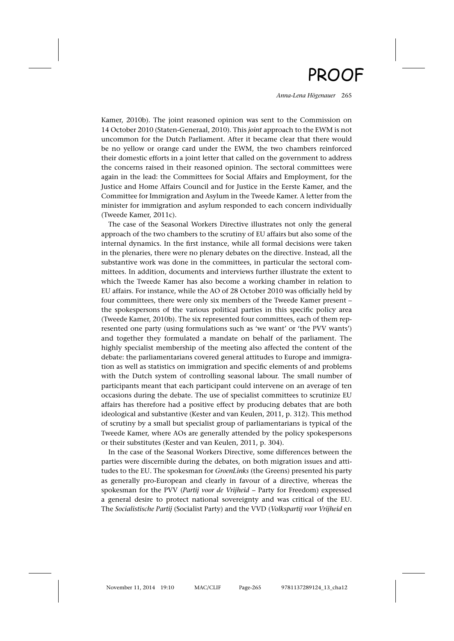*Anna-Lena Högenauer* 265

Kamer, 2010b). The joint reasoned opinion was sent to the Commission on 14 October 2010 (Staten-Generaal, 2010). This *joint* approach to the EWM is not uncommon for the Dutch Parliament. After it became clear that there would be no yellow or orange card under the EWM, the two chambers reinforced their domestic efforts in a joint letter that called on the government to address the concerns raised in their reasoned opinion. The sectoral committees were again in the lead: the Committees for Social Affairs and Employment, for the Justice and Home Affairs Council and for Justice in the Eerste Kamer, and the Committee for Immigration and Asylum in the Tweede Kamer. A letter from the minister for immigration and asylum responded to each concern individually (Tweede Kamer, 2011c).

The case of the Seasonal Workers Directive illustrates not only the general approach of the two chambers to the scrutiny of EU affairs but also some of the internal dynamics. In the first instance, while all formal decisions were taken in the plenaries, there were no plenary debates on the directive. Instead, all the substantive work was done in the committees, in particular the sectoral committees. In addition, documents and interviews further illustrate the extent to which the Tweede Kamer has also become a working chamber in relation to EU affairs. For instance, while the AO of 28 October 2010 was officially held by four committees, there were only six members of the Tweede Kamer present – the spokespersons of the various political parties in this specific policy area (Tweede Kamer, 2010b). The six represented four committees, each of them represented one party (using formulations such as 'we want' or 'the PVV wants') and together they formulated a mandate on behalf of the parliament. The highly specialist membership of the meeting also affected the content of the debate: the parliamentarians covered general attitudes to Europe and immigration as well as statistics on immigration and specific elements of and problems with the Dutch system of controlling seasonal labour. The small number of participants meant that each participant could intervene on an average of ten occasions during the debate. The use of specialist committees to scrutinize EU affairs has therefore had a positive effect by producing debates that are both ideological and substantive (Kester and van Keulen, 2011, p. 312). This method of scrutiny by a small but specialist group of parliamentarians is typical of the Tweede Kamer, where AOs are generally attended by the policy spokespersons or their substitutes (Kester and van Keulen, 2011, p. 304).

In the case of the Seasonal Workers Directive, some differences between the parties were discernible during the debates, on both migration issues and attitudes to the EU. The spokesman for *GroenLinks* (the Greens) presented his party as generally pro-European and clearly in favour of a directive, whereas the spokesman for the PVV (*Partij voor de Vrijheid* – Party for Freedom) expressed a general desire to protect national sovereignty and was critical of the EU. The *Socialistische Partij* (Socialist Party) and the VVD (*Volkspartij voor Vrijheid* en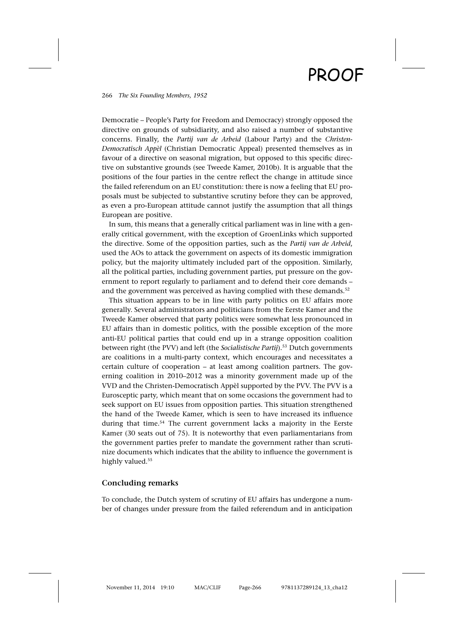266 *The Six Founding Members, 1952*

Democratie – People's Party for Freedom and Democracy) strongly opposed the directive on grounds of subsidiarity, and also raised a number of substantive concerns. Finally, the *Partij van de Arbeid* (Labour Party) and the *Christen-Democratisch Appèl* (Christian Democratic Appeal) presented themselves as in favour of a directive on seasonal migration, but opposed to this specific directive on substantive grounds (see Tweede Kamer, 2010b). It is arguable that the positions of the four parties in the centre reflect the change in attitude since the failed referendum on an EU constitution: there is now a feeling that EU proposals must be subjected to substantive scrutiny before they can be approved, as even a pro-European attitude cannot justify the assumption that all things European are positive.

In sum, this means that a generally critical parliament was in line with a generally critical government, with the exception of GroenLinks which supported the directive. Some of the opposition parties, such as the *Partij van de Arbeid*, used the AOs to attack the government on aspects of its domestic immigration policy, but the majority ultimately included part of the opposition. Similarly, all the political parties, including government parties, put pressure on the government to report regularly to parliament and to defend their core demands – and the government was perceived as having complied with these demands. $52$ 

This situation appears to be in line with party politics on EU affairs more generally. Several administrators and politicians from the Eerste Kamer and the Tweede Kamer observed that party politics were somewhat less pronounced in EU affairs than in domestic politics, with the possible exception of the more anti-EU political parties that could end up in a strange opposition coalition between right (the PVV) and left (the *Socialistische Partij*).53 Dutch governments are coalitions in a multi-party context, which encourages and necessitates a certain culture of cooperation – at least among coalition partners. The governing coalition in 2010–2012 was a minority government made up of the VVD and the Christen-Democratisch Appèl supported by the PVV. The PVV is a Eurosceptic party, which meant that on some occasions the government had to seek support on EU issues from opposition parties. This situation strengthened the hand of the Tweede Kamer, which is seen to have increased its influence during that time.54 The current government lacks a majority in the Eerste Kamer (30 seats out of 75). It is noteworthy that even parliamentarians from the government parties prefer to mandate the government rather than scrutinize documents which indicates that the ability to influence the government is highly valued.<sup>55</sup>

### **Concluding remarks**

To conclude, the Dutch system of scrutiny of EU affairs has undergone a number of changes under pressure from the failed referendum and in anticipation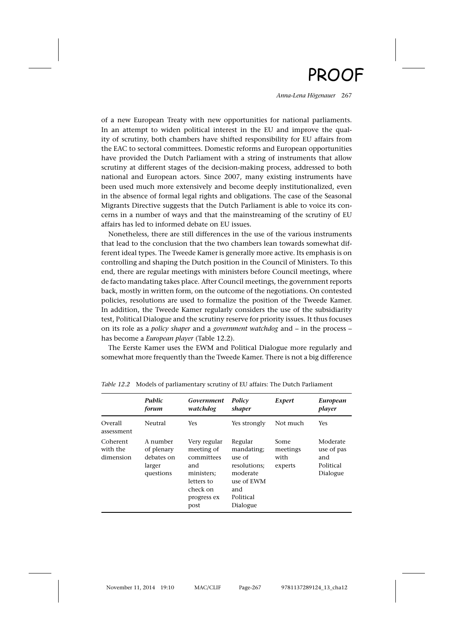*Anna-Lena Högenauer* 267

of a new European Treaty with new opportunities for national parliaments. In an attempt to widen political interest in the EU and improve the quality of scrutiny, both chambers have shifted responsibility for EU affairs from the EAC to sectoral committees. Domestic reforms and European opportunities have provided the Dutch Parliament with a string of instruments that allow scrutiny at different stages of the decision-making process, addressed to both national and European actors. Since 2007, many existing instruments have been used much more extensively and become deeply institutionalized, even in the absence of formal legal rights and obligations. The case of the Seasonal Migrants Directive suggests that the Dutch Parliament is able to voice its concerns in a number of ways and that the mainstreaming of the scrutiny of EU affairs has led to informed debate on EU issues.

Nonetheless, there are still differences in the use of the various instruments that lead to the conclusion that the two chambers lean towards somewhat different ideal types. The Tweede Kamer is generally more active. Its emphasis is on controlling and shaping the Dutch position in the Council of Ministers. To this end, there are regular meetings with ministers before Council meetings, where de facto mandating takes place. After Council meetings, the government reports back, mostly in written form, on the outcome of the negotiations. On contested policies, resolutions are used to formalize the position of the Tweede Kamer. In addition, the Tweede Kamer regularly considers the use of the subsidiarity test, Political Dialogue and the scrutiny reserve for priority issues. It thus focuses on its role as a *policy shaper* and a *government watchdog* and – in the process – has become a *European player* (Table 12.2).

The Eerste Kamer uses the EWM and Political Dialogue more regularly and somewhat more frequently than the Tweede Kamer. There is not a big difference

|                                   | Public<br>forum                                             | Government<br>watchdog                                                                                         | Policy<br>shaper                                                                                          | Expert                              | European<br>player                                     |
|-----------------------------------|-------------------------------------------------------------|----------------------------------------------------------------------------------------------------------------|-----------------------------------------------------------------------------------------------------------|-------------------------------------|--------------------------------------------------------|
| Overall<br>assessment             | Neutral                                                     | <b>Yes</b>                                                                                                     | Yes strongly                                                                                              | Not much                            | <b>Yes</b>                                             |
| Coherent<br>with the<br>dimension | A number<br>of plenary<br>debates on<br>larger<br>questions | Very regular<br>meeting of<br>committees<br>and<br>ministers;<br>letters to<br>check on<br>progress ex<br>post | Regular<br>mandating;<br>use of<br>resolutions;<br>moderate<br>use of EWM<br>and<br>Political<br>Dialogue | Some<br>meetings<br>with<br>experts | Moderate<br>use of pas<br>and<br>Political<br>Dialogue |

*Table 12.2* Models of parliamentary scrutiny of EU affairs: The Dutch Parliament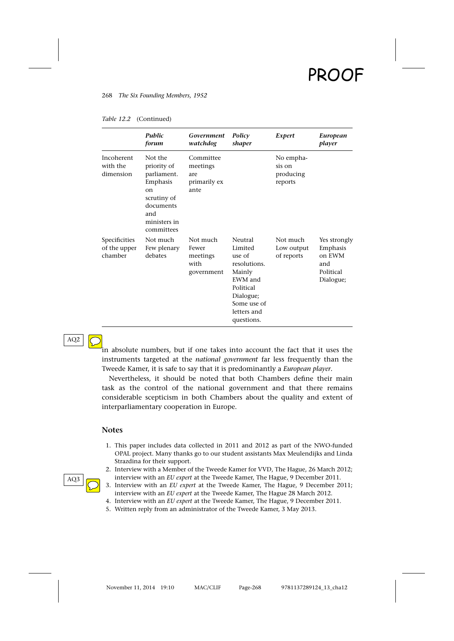### 268 *The Six Founding Members, 1952*

| Table 12.2 | (Continued) |
|------------|-------------|
|------------|-------------|

|                                          | <b>Public</b><br>forum                                                                                                              | Government<br>watchdog                               | Policy<br>shaper                                                                                                                        | Expert                                      | European<br>player                                                  |
|------------------------------------------|-------------------------------------------------------------------------------------------------------------------------------------|------------------------------------------------------|-----------------------------------------------------------------------------------------------------------------------------------------|---------------------------------------------|---------------------------------------------------------------------|
| Incoherent<br>with the<br>dimension      | Not the<br>priority of<br>parliament.<br>Emphasis<br><sub>on</sub><br>scrutiny of<br>documents<br>and<br>ministers in<br>committees | Committee<br>meetings<br>are<br>primarily ex<br>ante |                                                                                                                                         | No empha-<br>sis on<br>producing<br>reports |                                                                     |
| Specificities<br>of the upper<br>chamber | Not much<br>Few plenary<br>debates                                                                                                  | Not much<br>Fewer<br>meetings<br>with<br>government  | Neutral<br>Limited<br>use of<br>resolutions.<br>Mainly<br>EWM and<br>Political<br>Dialogue;<br>Some use of<br>letters and<br>questions. | Not much<br>Low output<br>of reports        | Yes strongly<br>Emphasis<br>on EWM<br>and<br>Political<br>Dialogue; |

in absolute numbers, but if one takes into account the fact that it uses the instruments targeted at the *national government* far less frequently than the Tweede Kamer, it is safe to say that it is predominantly a *European player*.

Nevertheless, it should be noted that both Chambers define their main task as the control of the national government and that there remains considerable scepticism in both Chambers about the quality and extent of interparliamentary cooperation in Europe.

### **Notes**

AQ2

- 1. This paper includes data collected in 2011 and 2012 as part of the NWO-funded OPAL project. Many thanks go to our student assistants Max Meulendijks and Linda Strazdina for their support.
- 2. Interview with a Member of the Tweede Kamer for VVD, The Hague, 26 March 2012; AQ3 interview with an *EU expert* at the Tweede Kamer, The Hague, 9 December 2011.
	- 3. Interview with an *EU expert* at the Tweede Kamer, The Hague, 9 December 2011; interview with an *EU expert* at the Tweede Kamer, The Hague 28 March 2012.
	- 4. Interview with an *EU expert* at the Tweede Kamer, The Hague, 9 December 2011.
	- 5. Written reply from an administrator of the Tweede Kamer, 3 May 2013.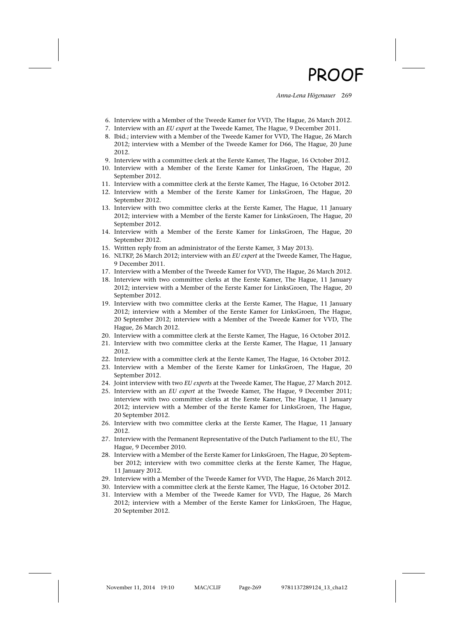*Anna-Lena Högenauer* 269

- 6. Interview with a Member of the Tweede Kamer for VVD, The Hague, 26 March 2012.
- 7. Interview with an *EU expert* at the Tweede Kamer, The Hague, 9 December 2011.
- 8. Ibid.; interview with a Member of the Tweede Kamer for VVD, The Hague, 26 March 2012; interview with a Member of the Tweede Kamer for D66, The Hague, 20 June 2012.
- 9. Interview with a committee clerk at the Eerste Kamer, The Hague, 16 October 2012.
- 10. Interview with a Member of the Eerste Kamer for LinksGroen, The Hague, 20 September 2012.
- 11. Interview with a committee clerk at the Eerste Kamer, The Hague, 16 October 2012.
- 12. Interview with a Member of the Eerste Kamer for LinksGroen, The Hague, 20 September 2012.
- 13. Interview with two committee clerks at the Eerste Kamer, The Hague, 11 January 2012; interview with a Member of the Eerste Kamer for LinksGroen, The Hague, 20 September 2012.
- 14. Interview with a Member of the Eerste Kamer for LinksGroen, The Hague, 20 September 2012.
- 15. Written reply from an administrator of the Eerste Kamer, 3 May 2013).
- 16. NLTKP, 26 March 2012; interview with an *EU expert* at the Tweede Kamer, The Hague, 9 December 2011.
- 17. Interview with a Member of the Tweede Kamer for VVD, The Hague, 26 March 2012.
- 18. Interview with two committee clerks at the Eerste Kamer, The Hague, 11 January 2012; interview with a Member of the Eerste Kamer for LinksGroen, The Hague, 20 September 2012.
- 19. Interview with two committee clerks at the Eerste Kamer, The Hague, 11 January 2012; interview with a Member of the Eerste Kamer for LinksGroen, The Hague, 20 September 2012; interview with a Member of the Tweede Kamer for VVD, The Hague, 26 March 2012.
- 20. Interview with a committee clerk at the Eerste Kamer, The Hague, 16 October 2012.
- 21. Interview with two committee clerks at the Eerste Kamer, The Hague, 11 January 2012.
- 22. Interview with a committee clerk at the Eerste Kamer, The Hague, 16 October 2012.
- 23. Interview with a Member of the Eerste Kamer for LinksGroen, The Hague, 20 September 2012.
- 24. Joint interview with two *EU experts* at the Tweede Kamer, The Hague, 27 March 2012.
- 25. Interview with an *EU expert* at the Tweede Kamer, The Hague, 9 December 2011; interview with two committee clerks at the Eerste Kamer, The Hague, 11 January 2012; interview with a Member of the Eerste Kamer for LinksGroen, The Hague, 20 September 2012.
- 26. Interview with two committee clerks at the Eerste Kamer, The Hague, 11 January 2012.
- 27. Interview with the Permanent Representative of the Dutch Parliament to the EU, The Hague, 9 December 2010.
- 28. Interview with a Member of the Eerste Kamer for LinksGroen, The Hague, 20 September 2012; interview with two committee clerks at the Eerste Kamer, The Hague, 11 January 2012.
- 29. Interview with a Member of the Tweede Kamer for VVD, The Hague, 26 March 2012.
- 30. Interview with a committee clerk at the Eerste Kamer, The Hague, 16 October 2012.
- 31. Interview with a Member of the Tweede Kamer for VVD, The Hague, 26 March 2012; interview with a Member of the Eerste Kamer for LinksGroen, The Hague, 20 September 2012.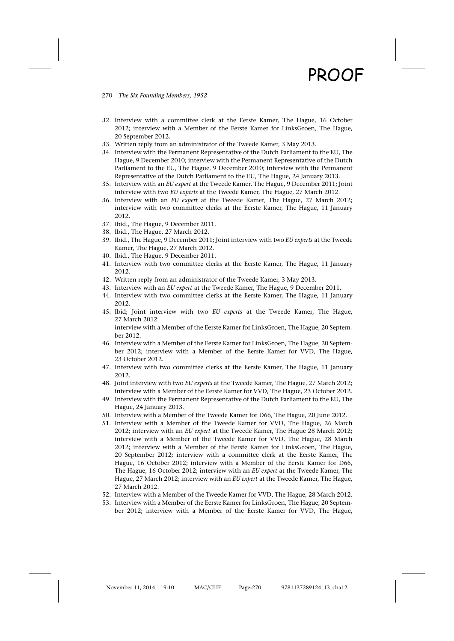270 *The Six Founding Members, 1952*

- 32. Interview with a committee clerk at the Eerste Kamer, The Hague, 16 October 2012; interview with a Member of the Eerste Kamer for LinksGroen, The Hague, 20 September 2012.
- 33. Written reply from an administrator of the Tweede Kamer, 3 May 2013.
- 34. Interview with the Permanent Representative of the Dutch Parliament to the EU, The Hague, 9 December 2010; interview with the Permanent Representative of the Dutch Parliament to the EU, The Hague, 9 December 2010; interview with the Permanent Representative of the Dutch Parliament to the EU, The Hague, 24 January 2013.
- 35. Interview with an *EU expert* at the Tweede Kamer, The Hague, 9 December 2011; Joint interview with two *EU experts* at the Tweede Kamer, The Hague, 27 March 2012.
- 36. Interview with an *EU expert* at the Tweede Kamer, The Hague, 27 March 2012; interview with two committee clerks at the Eerste Kamer, The Hague, 11 January 2012.
- 37. Ibid., The Hague, 9 December 2011.
- 38. Ibid., The Hague, 27 March 2012.
- 39. Ibid., The Hague, 9 December 2011; Joint interview with two *EU experts* at the Tweede Kamer, The Hague, 27 March 2012.
- 40. Ibid., The Hague, 9 December 2011.
- 41. Interview with two committee clerks at the Eerste Kamer, The Hague, 11 January 2012.
- 42. Written reply from an administrator of the Tweede Kamer, 3 May 2013.
- 43. Interview with an *EU expert* at the Tweede Kamer, The Hague, 9 December 2011.
- 44. Interview with two committee clerks at the Eerste Kamer, The Hague, 11 January 2012.
- 45. Ibid; Joint interview with two *EU experts* at the Tweede Kamer, The Hague, 27 March 2012

interview with a Member of the Eerste Kamer for LinksGroen, The Hague, 20 September 2012.

- 46. Interview with a Member of the Eerste Kamer for LinksGroen, The Hague, 20 September 2012; interview with a Member of the Eerste Kamer for VVD, The Hague, 23 October 2012.
- 47. Interview with two committee clerks at the Eerste Kamer, The Hague, 11 January 2012.
- 48. Joint interview with two *EU experts* at the Tweede Kamer, The Hague, 27 March 2012; interview with a Member of the Eerste Kamer for VVD, The Hague, 23 October 2012.
- 49. Interview with the Permanent Representative of the Dutch Parliament to the EU, The Hague, 24 January 2013.
- 50. Interview with a Member of the Tweede Kamer for D66, The Hague, 20 June 2012.
- 51. Interview with a Member of the Tweede Kamer for VVD, The Hague, 26 March 2012; interview with an *EU expert* at the Tweede Kamer, The Hague 28 March 2012; interview with a Member of the Tweede Kamer for VVD, The Hague, 28 March 2012; interview with a Member of the Eerste Kamer for LinksGroen, The Hague, 20 September 2012; interview with a committee clerk at the Eerste Kamer, The Hague, 16 October 2012; interview with a Member of the Eerste Kamer for D66, The Hague, 16 October 2012; interview with an *EU expert* at the Tweede Kamer, The Hague, 27 March 2012; interview with an *EU expert* at the Tweede Kamer, The Hague, 27 March 2012.
- 52. Interview with a Member of the Tweede Kamer for VVD, The Hague, 28 March 2012.
- 53. Interview with a Member of the Eerste Kamer for LinksGroen, The Hague, 20 September 2012; interview with a Member of the Eerste Kamer for VVD, The Hague,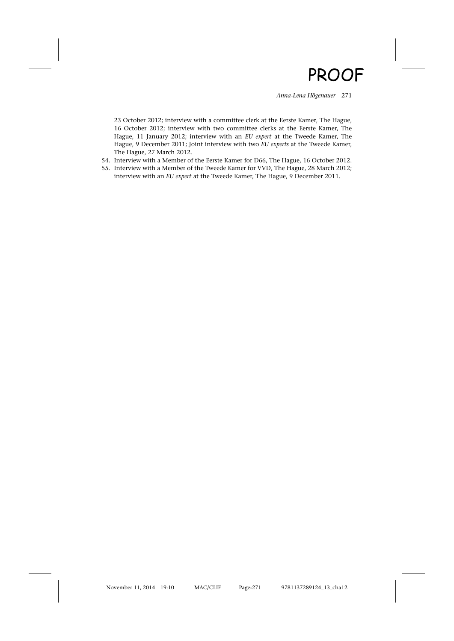*Anna-Lena Högenauer* 271

23 October 2012; interview with a committee clerk at the Eerste Kamer, The Hague, 16 October 2012; interview with two committee clerks at the Eerste Kamer, The Hague, 11 January 2012; interview with an *EU expert* at the Tweede Kamer, The Hague, 9 December 2011; Joint interview with two *EU experts* at the Tweede Kamer, The Hague, 27 March 2012.

- 54. Interview with a Member of the Eerste Kamer for D66, The Hague, 16 October 2012.
- 55. Interview with a Member of the Tweede Kamer for VVD, The Hague, 28 March 2012; interview with an *EU expert* at the Tweede Kamer, The Hague, 9 December 2011.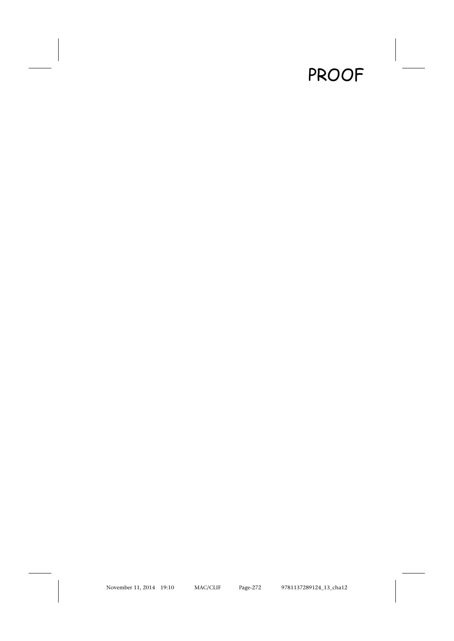November 11, 2014 19:10 MAC/CLIF Page-272 9781137289124\_13\_cha12